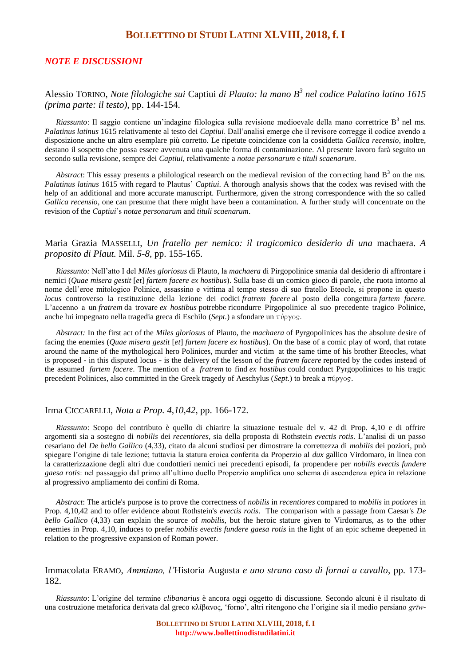# **BOLLETTINO DI STUDI LATINI XLVIII, 2018, f.I**

### *NOTE E DISCUSSIONI*

## Alessio TORINO, *Note filologiche sui* Captiui *di Plauto: la mano B<sup>3</sup> nel codice Palatino latino 1615 (prima parte: il testo)*, pp. 144-154.

 $Riasunto$ : Il saggio contiene un'indagine filologica sulla revisione medioevale della mano correttrice  $B<sup>3</sup>$  nel ms. *Palatinus latinus* 1615 relativamente al testo dei *Captiui*. Dall'analisi emerge che il revisore corregge il codice avendo a disposizione anche un altro esemplare più corretto. Le ripetute coincidenze con la cosiddetta *Gallica recensio*, inoltre, destano il sospetto che possa essere avvenuta una qualche forma di contaminazione. Al presente lavoro farà seguito un secondo sulla revisione, sempre dei *Captiui*, relativamente a *notae personarum* e *tituli scaenarum*.

*Abstract*: This essay presents a philological research on the medieval revision of the correcting hand  $B<sup>3</sup>$  on the ms. *Palatinus latinus* 1615 with regard to Plautus' *Captiui*. A thorough analysis shows that the codex was revised with the help of an additional and more accurate manuscript. Furthermore, given the strong correspondence with the so called *Gallica recensio*, one can presume that there might have been a contamination. A further study will concentrate on the revision of the *Captiui*'s *notae personarum* and *tituli scaenarum*.

## Maria Grazia MASSELLI, *Un fratello per nemico: il tragicomico desiderio di una* machaera. *A proposito di Plaut.* Mil. *5-8*, pp. 155-165.

*Riassunto:* Nell'atto I del *Miles gloriosus* di Plauto, la *machaera* di Pirgopolinice smania dal desiderio di affrontare i nemici (*Quae misera gestit* [*et*] *fartem facere ex hostibus*). Sulla base di un comico gioco di parole, che ruota intorno al nome dell'eroe mitologico Polinice, assassino e vittima al tempo stesso di suo fratello Eteocle, si propone in questo *locus* controverso la restituzione della lezione dei codici *fratrem facere* al posto della congettura *fartem facere*. L'accenno a un *fratrem* da trovare *ex hostibus* potrebbe ricondurre Pirgopolinice al suo precedente tragico Polinice, anche lui impegnato nella tragedia greca di Eschilo (*Sept.*) a sfondare un

*Abstract:* In the first act of the *Miles gloriosus* of Plauto, the *machaera* of Pyrgopolinices has the absolute desire of facing the enemies (*Quae misera gestit* [*et*] *fartem facere ex hostibus*). On the base of a comic play of word, that rotate around the name of the mythological hero Polinices, murder and victim at the same time of his brother Eteocles, what is proposed - in this disputed locus - is the delivery of the lesson of the *fratrem facere* reported by the codes instead of the assumed *fartem facere*. The mention of a *fratrem* to find *ex hostibus* could conduct Pyrgopolinices to his tragic precedent Polinices, also committed in the Greek tragedy of Aeschylus (*Sept.*) to break a πύργος.

### Irma CICCARELLI, *Nota a Prop. 4,10,42*, pp. 166-172.

*Riassunto*: Scopo del contributo è quello di chiarire la situazione testuale del v. 42 di Prop. 4,10 e di offrire argomenti sia a sostegno di *nobilis* dei *recentiores*, sia della proposta di Rothstein *evectis rotis*. L'analisi di un passo cesariano del *De bello Gallico* (4,33), citato da alcuni studiosi per dimostrare la correttezza di *mobilis* dei poziori, può spiegare l'origine di tale lezione; tuttavia la statura eroica conferita da Properzio al *dux* gallico Virdomaro, in linea con la caratterizzazione degli altri due condottieri nemici nei precedenti episodi, fa propendere per *nobilis evectis fundere gaesa rotis*: nel passaggio dal primo all'ultimo duello Properzio amplifica uno schema di ascendenza epica in relazione al progressivo ampliamento dei confini di Roma.

*Abstract*: The article's purpose is to prove the correctness of *nobilis* in *recentiores* compared to *mobilis* in *potiores* in Prop. 4,10,42 and to offer evidence about Rothstein's *evectis rotis*. The comparison with a passage from Caesar's *De bello Gallico* (4,33) can explain the source of *mobilis*, but the heroic stature given to Virdomarus, as to the other enemies in Prop. 4,10, induces to prefer *nobilis evectis fundere gaesa rotis* in the light of an epic scheme deepened in relation to the progressive expansion of Roman power.

Immacolata ERAMO, *Ammiano, l'*Historia Augusta *e uno strano caso di fornai a cavallo*, pp. 173- 182.

*Riassunto*: L'origine del termine *clibanarius* è ancora oggi oggetto di discussione. Secondo alcuni è il risultato di una costruzione metaforica derivata dal greco κλίβανος, 'forno', altri ritengono che l'origine sia il medio persiano *grīw-*

> **BOLLETTINO DI STUDI LATINI XLVIII, 2018, f. I http://www.bollettinodistudilatini.it**